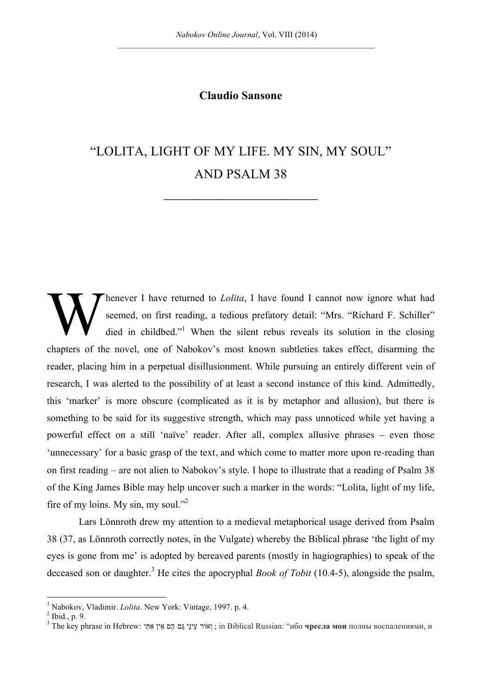## **Claudio Sansone**

## "LOLITA, LIGHT OF MY LIFE. MY SIN, MY SOUL" AND PSALM 38

**\_\_\_\_\_\_\_\_\_\_\_\_\_\_\_\_\_\_\_\_\_\_\_\_\_\_\_\_\_\_\_**

henever I have returned to *Lolita*, I have found I cannot now ignore what had seemed, on first reading, a tedious prefatory detail: "Mrs. "Richard F. Schiller" died in childbed."<sup>1</sup> When the silent rebus reveals its solution in the closing chapters of the novel, one of Nabokov's most known subtleties takes effect, disarming the reader, placing him in a perpetual disillusionment. While pursuing an entirely different vein of research, I was alerted to the possibility of at least a second instance of this kind. Admittedly, this 'marker' is more obscure (complicated as it is by metaphor and allusion), but there is something to be said for its suggestive strength, which may pass unnoticed while yet having a powerful effect on a still 'naïve' reader. After all, complex allusive phrases – even those 'unnecessary' for a basic grasp of the text, and which come to matter more upon re-reading than on first reading – are not alien to Nabokov's style. I hope to illustrate that a reading of Psalm 38 of the King James Bible may help uncover such a marker in the words: "Lolita, light of my life, fire of my loins. My sin, my soul."<sup>2</sup> W

Lars Lönnroth drew my attention to a medieval metaphorical usage derived from Psalm 38 (37, as Lönnroth correctly notes, in the Vulgate) whereby the Biblical phrase 'the light of my eyes is gone from me' is adopted by bereaved parents (mostly in hagiographies) to speak of the deceased son or daughter.<sup>3</sup> He cites the apocryphal *Book of Tobit* (10.4-5), alongside the psalm,

<sup>&</sup>lt;sup>1</sup> Nabokov, Vladimir. *Lolita*. New York: Vintage, 1997. p. 4.<sup>2</sup> Ibid., p. 9.

<sup>&</sup>lt;sup>3</sup> The key phrase in Hebrew: אִתִּי גַּם הֵם אֵין אִתִּי גַּם הֵם אֵין אִ in Biblical Russian: "ибо чресла мои полны воспалениями, и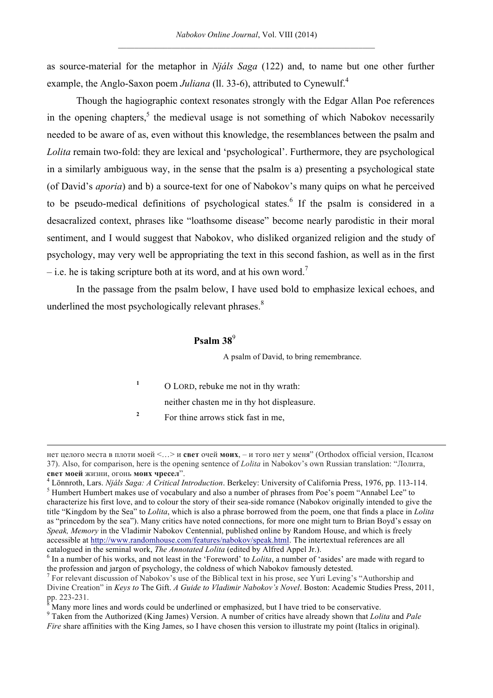as source-material for the metaphor in *Njáls Saga* (122) and, to name but one other further example, the Anglo-Saxon poem *Juliana* (ll. 33-6), attributed to Cynewulf.<sup>4</sup>

Though the hagiographic context resonates strongly with the Edgar Allan Poe references in the opening chapters,<sup>5</sup> the medieval usage is not something of which Nabokov necessarily needed to be aware of as, even without this knowledge, the resemblances between the psalm and *Lolita* remain two-fold: they are lexical and 'psychological'. Furthermore, they are psychological in a similarly ambiguous way, in the sense that the psalm is a) presenting a psychological state (of David's *aporia*) and b) a source-text for one of Nabokov's many quips on what he perceived to be pseudo-medical definitions of psychological states.<sup>6</sup> If the psalm is considered in a desacralized context, phrases like "loathsome disease" become nearly parodistic in their moral sentiment, and I would suggest that Nabokov, who disliked organized religion and the study of psychology, may very well be appropriating the text in this second fashion, as well as in the first – i.e. he is taking scripture both at its word, and at his own word.<sup>7</sup>

In the passage from the psalm below, I have used bold to emphasize lexical echoes, and underlined the most psychologically relevant phrases.<sup>8</sup>

## **Psalm 38**<sup>9</sup>

A psalm of David, to bring remembrance.

**<sup>1</sup>** O LORD, rebuke me not in thy wrath:

neither chasten me in thy hot displeasure.

<sup>2</sup> For thine arrows stick fast in me,

 $\overline{a}$ 

нет целого места в плоти моей <…> и **свет** очей **моих**, – и того нет у меня" (Orthodox official version, Псалом 37). Also, for comparison, here is the opening sentence of *Lolita* in Nabokov's own Russian translation: "Лолита,

**свет моей** жизни, огонь моих чресел".<br><sup>4</sup> Lönnroth, Lars. *Njáls Saga: A Critical Introduction*. Berkeley: University of California Press, 1976, pp. 113-114.<br><sup>5</sup> Humbert Humbert makes use of vocabulary and also a number characterize his first love, and to colour the story of their sea-side romance (Nabokov originally intended to give the title "Kingdom by the Sea" to *Lolita*, which is also a phrase borrowed from the poem, one that finds a place in *Lolita* as "princedom by the sea"). Many critics have noted connections, for more one might turn to Brian Boyd's essay on *Speak, Memory* in the Vladimir Nabokov Centennial, published online by Random House, and which is freely accessible at http://www.randomhouse.com/features/nabokov/speak.html. The intertextual references are all catalogued in the seminal work, *The Annotated Lolita* (edited by Alfred Appel Jr.). <sup>6</sup> In a number of his works, and not least in the 'Foreword' to *Lolita*, a number of 'asides' are made with regard to

the profession and jargon of psychology, the coldness of which Nabokov famously detested.

<sup>&</sup>lt;sup>7</sup> For relevant discussion of Nabokov's use of the Biblical text in his prose, see Yuri Leving's "Authorship and Divine Creation" in *Keys to* The Gift. *A Guide to Vladimir Nabokov's Novel*. Boston: Academic Studies Press, 2011, pp. 223-231.<br><sup>8</sup> Many more lines and words could be underlined or emphasized, but I have tried to be conservative.<br><sup>9</sup> Taken from the Authorized (King James) Version. A number of critics have already shown that *Lolita* an

*Fire* share affinities with the King James, so I have chosen this version to illustrate my point (Italics in original).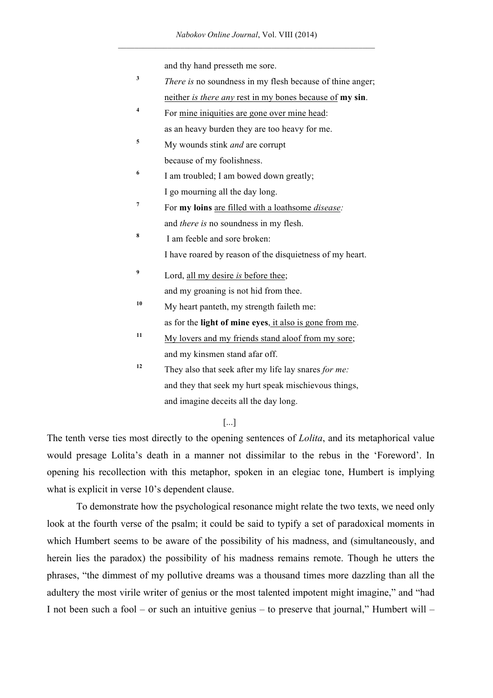and thy hand presseth me sore.

- **<sup>3</sup>** *There is* no soundness in my flesh because of thine anger; neither *is there any* rest in my bones because of **my sin**.
- <sup>4</sup> For mine iniquities are gone over mine head: as an heavy burden they are too heavy for me.
- **<sup>5</sup>** My wounds stink *and* are corrupt because of my foolishness.
- <sup>6</sup> I am troubled; I am bowed down greatly; I go mourning all the day long.
- **<sup>7</sup>** For **my loins** are filled with a loathsome *disease:* and *there is* no soundness in my flesh.
- **<sup>8</sup>** I am feeble and sore broken: I have roared by reason of the disquietness of my heart.
- **<sup>9</sup>** Lord, all my desire *is* before thee; and my groaning is not hid from thee.
- **<sup>10</sup>** My heart panteth, my strength faileth me: as for the **light of mine eyes**, it also is gone from me.
- **<sup>11</sup>** My lovers and my friends stand aloof from my sore; and my kinsmen stand afar off.
- **<sup>12</sup>** They also that seek after my life lay snares *for me:* and they that seek my hurt speak mischievous things, and imagine deceits all the day long.

## [...]

The tenth verse ties most directly to the opening sentences of *Lolita*, and its metaphorical value would presage Lolita's death in a manner not dissimilar to the rebus in the 'Foreword'. In opening his recollection with this metaphor, spoken in an elegiac tone, Humbert is implying what is explicit in verse 10's dependent clause.

To demonstrate how the psychological resonance might relate the two texts, we need only look at the fourth verse of the psalm; it could be said to typify a set of paradoxical moments in which Humbert seems to be aware of the possibility of his madness, and (simultaneously, and herein lies the paradox) the possibility of his madness remains remote. Though he utters the phrases, "the dimmest of my pollutive dreams was a thousand times more dazzling than all the adultery the most virile writer of genius or the most talented impotent might imagine," and "had I not been such a fool – or such an intuitive genius – to preserve that journal," Humbert will –